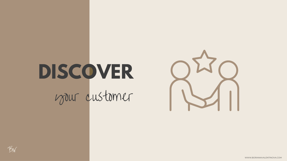# your customer **DISCOVER**

 $B_V$ 

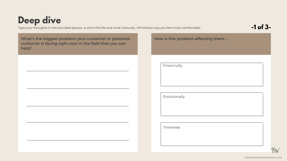| What's the biggest problem your customer or potential<br>customer is facing right now in the field that you can<br>help? |  | How is this prok |
|--------------------------------------------------------------------------------------------------------------------------|--|------------------|
|                                                                                                                          |  |                  |
|                                                                                                                          |  | Financially      |
|                                                                                                                          |  |                  |
|                                                                                                                          |  |                  |
|                                                                                                                          |  |                  |
|                                                                                                                          |  | Emotionally      |
|                                                                                                                          |  |                  |
|                                                                                                                          |  |                  |
|                                                                                                                          |  |                  |
|                                                                                                                          |  | Timewise         |
|                                                                                                                          |  |                  |
|                                                                                                                          |  |                  |
|                                                                                                                          |  |                  |

## **Deep dive**

| How is this problem affecting them |  |  |
|------------------------------------|--|--|
|                                    |  |  |
|                                    |  |  |
| Financially                        |  |  |
|                                    |  |  |
|                                    |  |  |
|                                    |  |  |
| Emotionally                        |  |  |
|                                    |  |  |
|                                    |  |  |
|                                    |  |  |
| Timewise                           |  |  |
|                                    |  |  |
|                                    |  |  |



Type your thoughts in the provided spaces, or print the file and work manually. Whichever way you feel more comfortable. **-1 of 3-**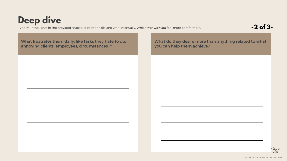| What frustrates them daily, like tasks they hate to do,<br>annoying clients, employees, circumstances? | What do they desire more than anything related to what<br>you can help them achieve? |
|--------------------------------------------------------------------------------------------------------|--------------------------------------------------------------------------------------|
|                                                                                                        |                                                                                      |
|                                                                                                        |                                                                                      |
|                                                                                                        |                                                                                      |
|                                                                                                        |                                                                                      |
|                                                                                                        |                                                                                      |







Type your thoughts in the provided spaces, or print the file and work manually. Whichever way you feel more comfortable. **-2 of 3-**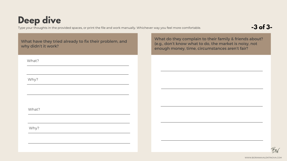### **Deep dive**

| What have they tried already to fix their problem, and<br>why didn't it work? |  | What do they complain to their family & friends about?<br>(e.g., don't know what to do, the market is noisy, not<br>enough money, time, circumstances aren't fair? |
|-------------------------------------------------------------------------------|--|--------------------------------------------------------------------------------------------------------------------------------------------------------------------|
| What?                                                                         |  |                                                                                                                                                                    |
| Why?                                                                          |  |                                                                                                                                                                    |
| What?                                                                         |  |                                                                                                                                                                    |
| Why?                                                                          |  |                                                                                                                                                                    |
|                                                                               |  |                                                                                                                                                                    |





Type your thoughts in the provided spaces, or print the file and work manually. Whichever way you feel more comfortable. **-3 of 3-**